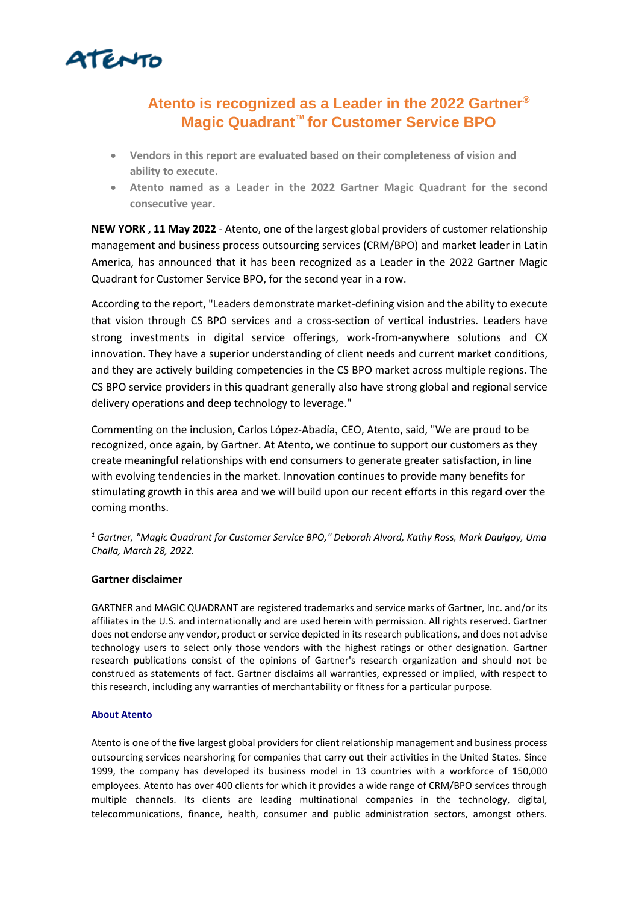

## **Atento is recognized as a Leader in the 2022 Gartner® Magic Quadrant™ for Customer Service BPO**

- **Vendors in this report are evaluated based on their completeness of vision and ability to execute.**
- **Atento named as a Leader in the 2022 Gartner Magic Quadrant for the second consecutive year.**

**NEW YORK , 11 May 2022** - Atento, one of the largest global providers of customer relationship management and business process outsourcing services (CRM/BPO) and market leader in Latin America, has announced that it has been recognized as a Leader in the 2022 Gartner Magic Quadrant for Customer Service BPO, for the second year in a row.

According to the report, "Leaders demonstrate market-defining vision and the ability to execute that vision through CS BPO services and a cross-section of vertical industries. Leaders have strong investments in digital service offerings, work-from-anywhere solutions and CX innovation. They have a superior understanding of client needs and current market conditions, and they are actively building competencies in the CS BPO market across multiple regions. The CS BPO service providers in this quadrant generally also have strong global and regional service delivery operations and deep technology to leverage."

Commenting on the inclusion, Carlos López-Abadía, CEO, Atento, said, "We are proud to be recognized, once again, by Gartner. At Atento, we continue to support our customers as they create meaningful relationships with end consumers to generate greater satisfaction, in line with evolving tendencies in the market. Innovation continues to provide many benefits for stimulating growth in this area and we will build upon our recent efforts in this regard over the coming months.

*<sup>1</sup> Gartner, "Magic Quadrant for Customer Service BPO," Deborah Alvord, Kathy Ross, Mark Dauigoy, Uma Challa, March 28, 2022.* 

## **Gartner disclaimer**

GARTNER and MAGIC QUADRANT are registered trademarks and service marks of Gartner, Inc. and/or its affiliates in the U.S. and internationally and are used herein with permission. All rights reserved. Gartner does not endorse any vendor, product or service depicted in its research publications, and does not advise technology users to select only those vendors with the highest ratings or other designation. Gartner research publications consist of the opinions of Gartner's research organization and should not be construed as statements of fact. Gartner disclaims all warranties, expressed or implied, with respect to this research, including any warranties of merchantability or fitness for a particular purpose.

## **About Atento**

Atento is one of the five largest global providers for client relationship management and business process outsourcing services nearshoring for companies that carry out their activities in the United States. Since 1999, the company has developed its business model in 13 countries with a workforce of 150,000 employees. Atento has over 400 clients for which it provides a wide range of CRM/BPO services through multiple channels. Its clients are leading multinational companies in the technology, digital, telecommunications, finance, health, consumer and public administration sectors, amongst others.